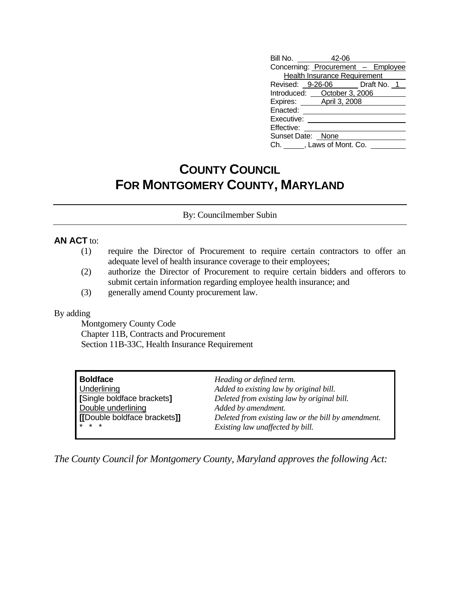| Bill No. 42-06    |                                     |                                    |
|-------------------|-------------------------------------|------------------------------------|
|                   |                                     | Concerning: Procurement - Employee |
|                   | <b>Health Insurance Requirement</b> |                                    |
|                   |                                     | Revised: 9-26-06 Draft No. 1       |
|                   | Introduced: October 3, 2006         |                                    |
|                   | Expires: April 3, 2008              |                                    |
| Enacted:          |                                     |                                    |
| Executive:        |                                     |                                    |
| Effective:        |                                     |                                    |
| Sunset Date: None |                                     |                                    |
|                   | Ch. ______, Laws of Mont. Co.       |                                    |

## **COUNTY COUNCIL FOR MONTGOMERY COUNTY, MARYLAND**

By: Councilmember Subin

## **AN ACT** to:

- (1) require the Director of Procurement to require certain contractors to offer an adequate level of health insurance coverage to their employees;
- (2) authorize the Director of Procurement to require certain bidders and offerors to submit certain information regarding employee health insurance; and
- (3) generally amend County procurement law.

## By adding

 Montgomery County Code Chapter 11B, Contracts and Procurement Section 11B-33C, Health Insurance Requirement

| Boldface                                                                            | Heading or defined term.                    |
|-------------------------------------------------------------------------------------|---------------------------------------------|
| <b>Underlining</b>                                                                  | Added to existing law by original bill.     |
| Single boldface brackets]                                                           | Deleted from existing law by original bill. |
| Double underlining                                                                  | Added by amendment.                         |
| [[Double boldface brackets]]<br>Deleted from existing law or the bill by amendment. |                                             |
| <b>x</b> * *                                                                        | Existing law unaffected by bill.            |

*The County Council for Montgomery County, Maryland approves the following Act:*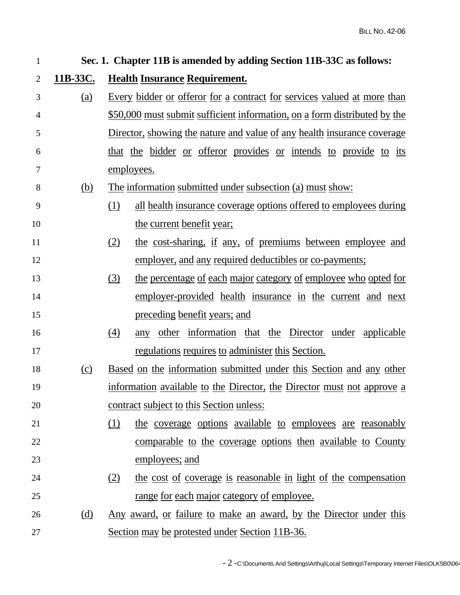| $\mathbf{1}$   | Sec. 1. Chapter 11B is amended by adding Section 11B-33C as follows: |                                                                                 |  |  |
|----------------|----------------------------------------------------------------------|---------------------------------------------------------------------------------|--|--|
| $\overline{2}$ | 11B-33C.                                                             | <b>Health Insurance Requirement.</b>                                            |  |  |
| 3              | (a)                                                                  | <u>Every bidder or offeror for a contract for services valued at more than</u>  |  |  |
| $\overline{4}$ |                                                                      | \$50,000 must submit sufficient information, on a form distributed by the       |  |  |
| 5              |                                                                      | Director, showing the nature and value of any health insurance coverage         |  |  |
| 6              |                                                                      | that the bidder or offeror provides or intends to provide to its                |  |  |
| 7              |                                                                      | employees.                                                                      |  |  |
| 8              | (b)                                                                  | <u>The information submitted under subsection (a) must show:</u>                |  |  |
| 9              |                                                                      | <u>all health insurance coverage options offered to employees during</u><br>(1) |  |  |
| 10             |                                                                      | the current benefit year;                                                       |  |  |
| 11             |                                                                      | the cost-sharing, if any, of premiums between employee and<br>(2)               |  |  |
| 12             |                                                                      | employer, and any required deductibles or co-payments;                          |  |  |
| 13             |                                                                      | the percentage of each major category of employee who opted for<br>(3)          |  |  |
| 14             |                                                                      | employer-provided health insurance in the current and next                      |  |  |
| 15             |                                                                      | <u>preceding benefit years; and</u>                                             |  |  |
| 16             |                                                                      | any other information that the Director under applicable<br>(4)                 |  |  |
| 17             |                                                                      | regulations requires to administer this Section.                                |  |  |
| 18             | (c)                                                                  | Based on the information submitted under this Section and any other             |  |  |
| 19             |                                                                      | information available to the Director, the Director must not approve a          |  |  |
| 20             |                                                                      | contract subject to this Section unless:                                        |  |  |
| 21             |                                                                      | the coverage options available to employees are reasonably<br>(1)               |  |  |
| 22             |                                                                      | comparable to the coverage options then available to County                     |  |  |
| 23             |                                                                      | employees; and                                                                  |  |  |
| 24             |                                                                      | the cost of coverage is reasonable in light of the compensation<br>(2)          |  |  |
| 25             |                                                                      | <u>range for each major category of employee.</u>                               |  |  |
| 26             | (d)                                                                  | <u>Any award, or failure to make an award, by the Director under this</u>       |  |  |
| 27             |                                                                      | Section may be protested under Section 11B-36.                                  |  |  |